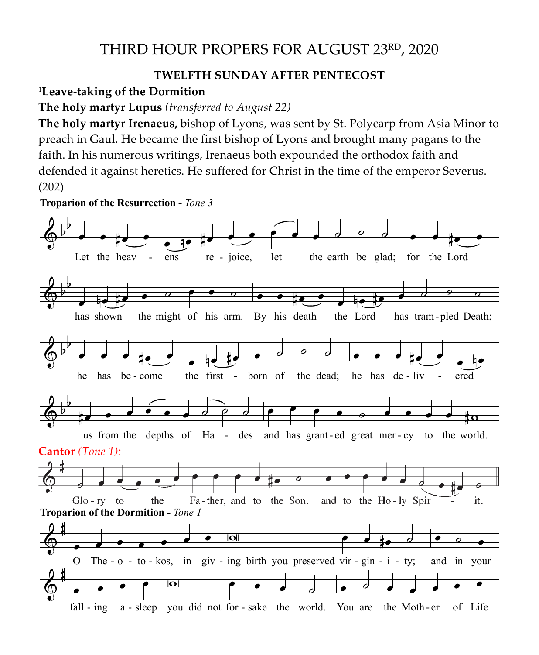## THIRD HOUR PROPERS FOR AUGUST 23RD, 2020

## **TWELFTH SUNDAY AFTER PENTECOST**

<sup>1</sup>**Leave-taking of the Dormition**

**The holy martyr Lupus** *(transferred to August 22)* 

**The holy martyr Irenaeus,** bishop of Lyons, was sent by St. Polycarp from Asia Minor to preach in Gaul. He became the first bishop of Lyons and brought many pagans to the faith. In his numerous writings, Irenaeus both expounded the orthodox faith and faith. defended it against heretics. He suffered for Christ in the time of the emperor Severus. (202) **Leave-taking of the Dormition Divine Liturgy, August 23, 2020**  $\overline{T}$   $\overline{3}$  $T<sub>1</sub>$ 

**Troparion of the Resurrection -** *Tone 3*

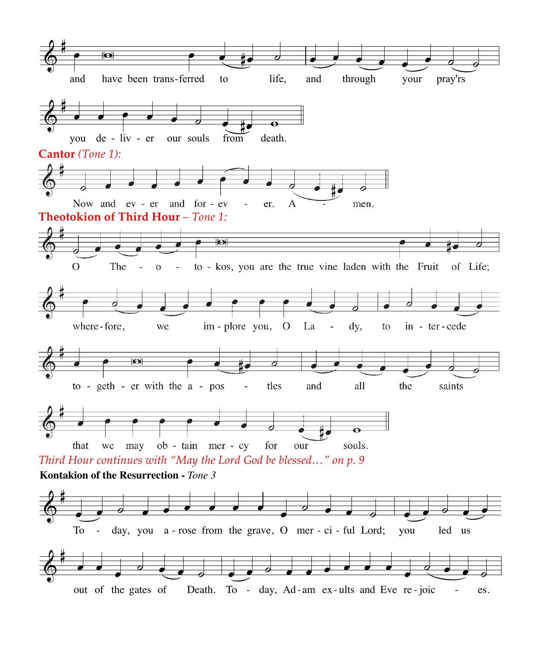